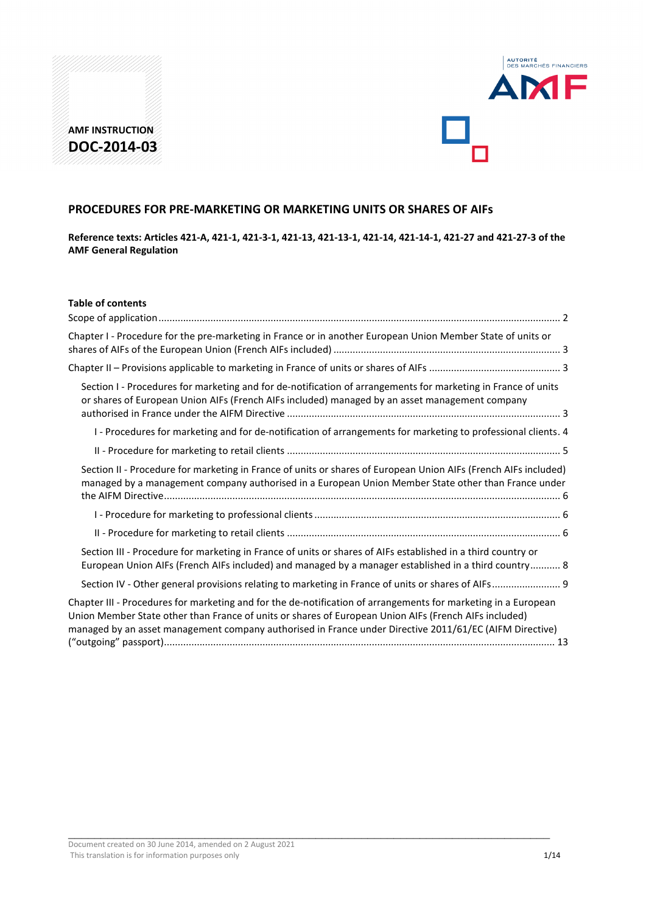



# **PROCEDURES FOR PRE-MARKETING OR MARKETING UNITS OR SHARES OF AIFs**

**Reference texts: Articles 421-A, 421-1, 421-3-1, 421-13, 421-13-1, 421-14, 421-14-1, 421-27 and 421-27-3 of the AMF General Regulation**

| Section I - Procedures for marketing and for de-notification of arrangements for marketing in France of units                                                                                                          |
|------------------------------------------------------------------------------------------------------------------------------------------------------------------------------------------------------------------------|
| I - Procedures for marketing and for de-notification of arrangements for marketing to professional clients. 4                                                                                                          |
|                                                                                                                                                                                                                        |
| Section II - Procedure for marketing in France of units or shares of European Union AIFs (French AIFs included)<br>managed by a management company authorised in a European Union Member State other than France under |
|                                                                                                                                                                                                                        |
|                                                                                                                                                                                                                        |
| European Union AIFs (French AIFs included) and managed by a manager established in a third country 8                                                                                                                   |
| Section IV - Other general provisions relating to marketing in France of units or shares of AIFs 9                                                                                                                     |
| managed by an asset management company authorised in France under Directive 2011/61/EC (AIFM Directive)                                                                                                                |
|                                                                                                                                                                                                                        |

 $\_$  , and the set of the set of the set of the set of the set of the set of the set of the set of the set of the set of the set of the set of the set of the set of the set of the set of the set of the set of the set of th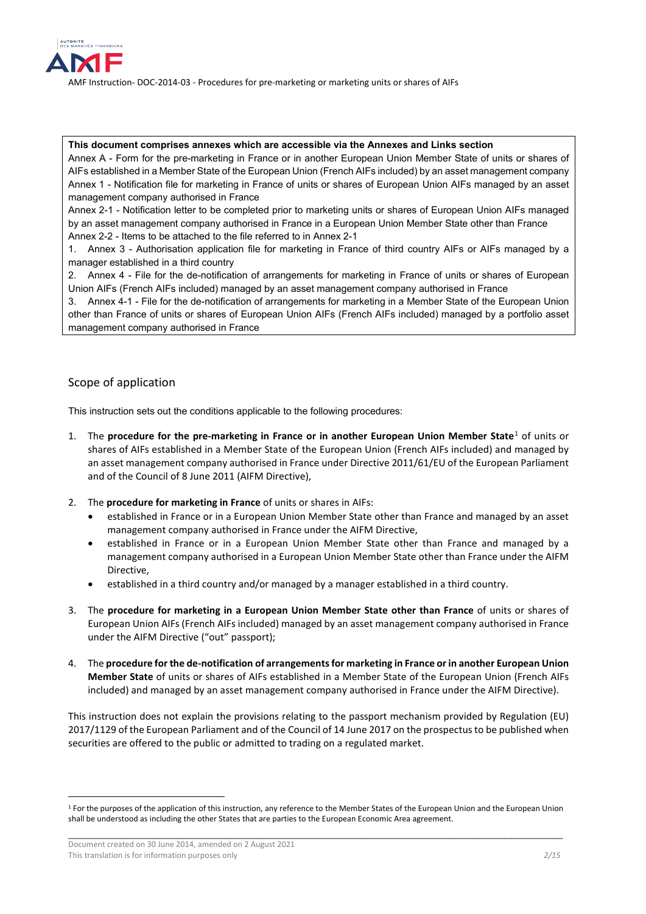

#### **This document comprises annexes which are accessible via the Annexes and Links section**

Annex A - Form for the pre-marketing in France or in another European Union Member State of units or shares of AIFs established in a Member State of the European Union (French AIFs included) by an asset management company Annex 1 - Notification file for marketing in France of units or shares of European Union AIFs managed by an asset management company authorised in France

Annex 2-1 - Notification letter to be completed prior to marketing units or shares of European Union AIFs managed by an asset management company authorised in France in a European Union Member State other than France Annex 2-2 - Items to be attached to the file referred to in Annex 2-1

1. Annex 3 - Authorisation application file for marketing in France of third country AIFs or AIFs managed by a manager established in a third country

2. Annex 4 - File for the de-notification of arrangements for marketing in France of units or shares of European Union AIFs (French AIFs included) managed by an asset management company authorised in France

3. Annex 4-1 - File for the de-notification of arrangements for marketing in a Member State of the European Union other than France of units or shares of European Union AIFs (French AIFs included) managed by a portfolio asset management company authorised in France

# <span id="page-1-0"></span>Scope of application

This instruction sets out the conditions applicable to the following procedures:

- 1. The **procedure for the pre-marketing in France or in another European Union Member State**[1](#page-1-1) of units or shares of AIFs established in a Member State of the European Union (French AIFs included) and managed by an asset management company authorised in France under Directive 2011/61/EU of the European Parliament and of the Council of 8 June 2011 (AIFM Directive),
- 2. The **procedure for marketing in France** of units or shares in AIFs:
	- established in France or in a European Union Member State other than France and managed by an asset management company authorised in France under the AIFM Directive,
	- established in France or in a European Union Member State other than France and managed by a management company authorised in a European Union Member State other than France under the AIFM Directive,
	- established in a third country and/or managed by a manager established in a third country.
- 3. The **procedure for marketing in a European Union Member State other than France** of units or shares of European Union AIFs (French AIFs included) managed by an asset management company authorised in France under the AIFM Directive ("out" passport);
- 4. The **procedure for the de-notification of arrangements for marketing in France or in another European Union Member State** of units or shares of AIFs established in a Member State of the European Union (French AIFs included) and managed by an asset management company authorised in France under the AIFM Directive).

This instruction does not explain the provisions relating to the passport mechanism provided by Regulation (EU) 2017/1129 of the European Parliament and of the Council of 14 June 2017 on the prospectus to be published when securities are offered to the public or admitted to trading on a regulated market.

-

<span id="page-1-1"></span>\_\_\_\_\_\_\_\_\_\_\_\_\_\_\_\_\_\_\_\_\_\_\_\_\_\_\_\_\_\_\_\_\_\_\_\_\_\_\_\_\_\_\_\_\_\_\_\_\_\_\_\_\_\_\_\_\_\_\_\_\_\_\_\_\_\_\_\_\_\_\_\_\_\_\_\_ <sup>1</sup> For the purposes of the application of this instruction, any reference to the Member States of the European Union and the European Union shall be understood as including the other States that are parties to the European Economic Area agreement.

Document created on 30 June 2014, amended on 2 August 2021 This translation is for information purposes only *2/15* and *2/15* and *2/15* and *2/15* and *2/15***</del> and <b>***2/15*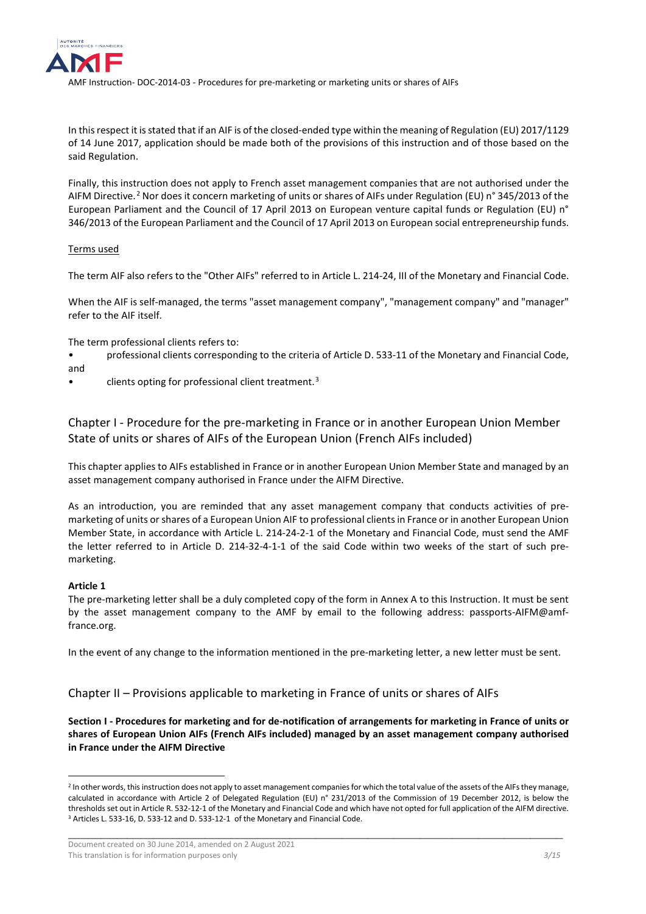

In this respect it is stated that if an AIF is of the closed-ended type within the meaning of Regulation (EU) 2017/1129 of 14 June 2017, application should be made both of the provisions of this instruction and of those based on the said Regulation.

Finally, this instruction does not apply to French asset management companies that are not authorised under the AIFM Directive.[2](#page-2-3) Nor does it concern marketing of units or shares of AIFs under Regulation (EU) n° 345/2013 of the European Parliament and the Council of 17 April 2013 on European venture capital funds or Regulation (EU) n° 346/2013 of the European Parliament and the Council of 17 April 2013 on European social entrepreneurship funds.

# Terms used

The term AIF also refers to the "Other AIFs" referred to in Article L. 214-24, III of the Monetary and Financial Code.

When the AIF is self-managed, the terms "asset management company", "management company" and "manager" refer to the AIF itself.

The term professional clients refers to:

- professional clients corresponding to the criteria of Article D. 533-11 of the Monetary and Financial Code, and
- clients opting for professional client treatment.<sup>[3](#page-2-4)</sup>

<span id="page-2-0"></span>Chapter I - Procedure for the pre-marketing in France or in another European Union Member State of units or shares of AIFs of the European Union (French AIFs included)

This chapter applies to AIFs established in France or in another European Union Member State and managed by an asset management company authorised in France under the AIFM Directive.

As an introduction, you are reminded that any asset management company that conducts activities of premarketing of units or shares of a European Union AIF to professional clients in France or in another European Union Member State, in accordance with Article L. 214-24-2-1 of the Monetary and Financial Code, must send the AMF the letter referred to in Article D. 214-32-4-1-1 of the said Code within two weeks of the start of such premarketing.

#### **Article 1**

-

The pre-marketing letter shall be a duly completed copy of the form in Annex A to this Instruction. It must be sent by the asset management company to the AMF by email to the following address: passports-AIFM@amffrance.org.

In the event of any change to the information mentioned in the pre-marketing letter, a new letter must be sent.

<span id="page-2-1"></span>Chapter II – Provisions applicable to marketing in France of units or shares of AIFs

<span id="page-2-2"></span>**Section I - Procedures for marketing and for de-notification of arrangements for marketing in France of units or shares of European Union AIFs (French AIFs included) managed by an asset management company authorised in France under the AIFM Directive**

<span id="page-2-3"></span><sup>&</sup>lt;sup>2</sup> In other words, this instruction does not apply to asset management companies for which the total value of the assets of the AIFs they manage, calculated in accordance with Article 2 of Delegated Regulation (EU) n° 231/2013 of the Commission of 19 December 2012, is below the thresholds set out in Article R. 532-12-1 of the Monetary and Financial Code and which have not opted for full application of the AIFM directive. <sup>3</sup> Articles L. 533-16, D. 533-12 and D. 533-12-1 of the Monetary and Financial Code.

<span id="page-2-4"></span>Document created on 30 June 2014, amended on 2 August 2021 This translation is for information purposes only **3/15** and *3/15* and *3/15* and *3/15*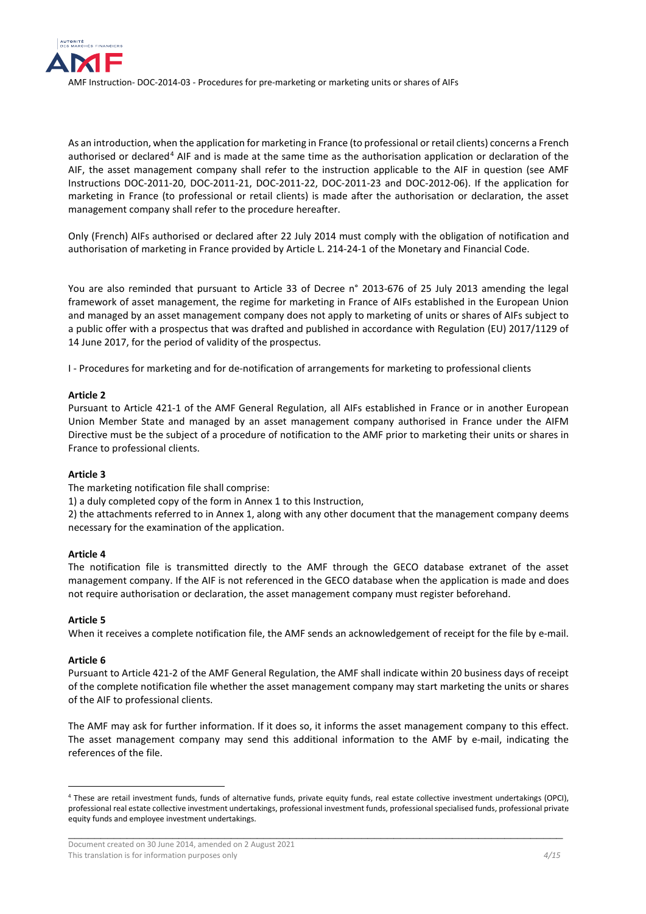

As an introduction, when the application for marketing in France (to professional or retail clients) concerns a French authorised or declared<sup>[4](#page-3-1)</sup> AIF and is made at the same time as the authorisation application or declaration of the AIF, the asset management company shall refer to the instruction applicable to the AIF in question (see AMF Instructions DOC-2011-20, DOC-2011-21, DOC-2011-22, DOC-2011-23 and DOC-2012-06). If the application for marketing in France (to professional or retail clients) is made after the authorisation or declaration, the asset management company shall refer to the procedure hereafter.

Only (French) AIFs authorised or declared after 22 July 2014 must comply with the obligation of notification and authorisation of marketing in France provided by Article L. 214-24-1 of the Monetary and Financial Code.

You are also reminded that pursuant to Article 33 of Decree n° 2013-676 of 25 July 2013 amending the legal framework of asset management, the regime for marketing in France of AIFs established in the European Union and managed by an asset management company does not apply to marketing of units or shares of AIFs subject to a public offer with a prospectus that was drafted and published in accordance with Regulation (EU) 2017/1129 of 14 June 2017, for the period of validity of the prospectus.

<span id="page-3-0"></span>I - Procedures for marketing and for de-notification of arrangements for marketing to professional clients

# **Article 2**

Pursuant to Article 421-1 of the AMF General Regulation, all AIFs established in France or in another European Union Member State and managed by an asset management company authorised in France under the AIFM Directive must be the subject of a procedure of notification to the AMF prior to marketing their units or shares in France to professional clients.

# **Article 3**

The marketing notification file shall comprise:

1) a duly completed copy of the form in Annex 1 to this Instruction,

2) the attachments referred to in Annex 1, along with any other document that the management company deems necessary for the examination of the application.

# **Article 4**

The notification file is transmitted directly to the AMF through the GECO database extranet of the asset management company. If the AIF is not referenced in the GECO database when the application is made and does not require authorisation or declaration, the asset management company must register beforehand.

# **Article 5**

When it receives a complete notification file, the AMF sends an acknowledgement of receipt for the file by e-mail.

# **Article 6**

-

Pursuant to Article 421-2 of the AMF General Regulation, the AMF shall indicate within 20 business days of receipt of the complete notification file whether the asset management company may start marketing the units or shares of the AIF to professional clients.

The AMF may ask for further information. If it does so, it informs the asset management company to this effect. The asset management company may send this additional information to the AMF by e-mail, indicating the references of the file.

<span id="page-3-1"></span><sup>4</sup> These are retail investment funds, funds of alternative funds, private equity funds, real estate collective investment undertakings (OPCI), professional real estate collective investment undertakings, professional investment funds, professional specialised funds, professional private equity funds and employee investment undertakings.

Document created on 30 June 2014, amended on 2 August 2021 This translation is for information purposes only **A**/15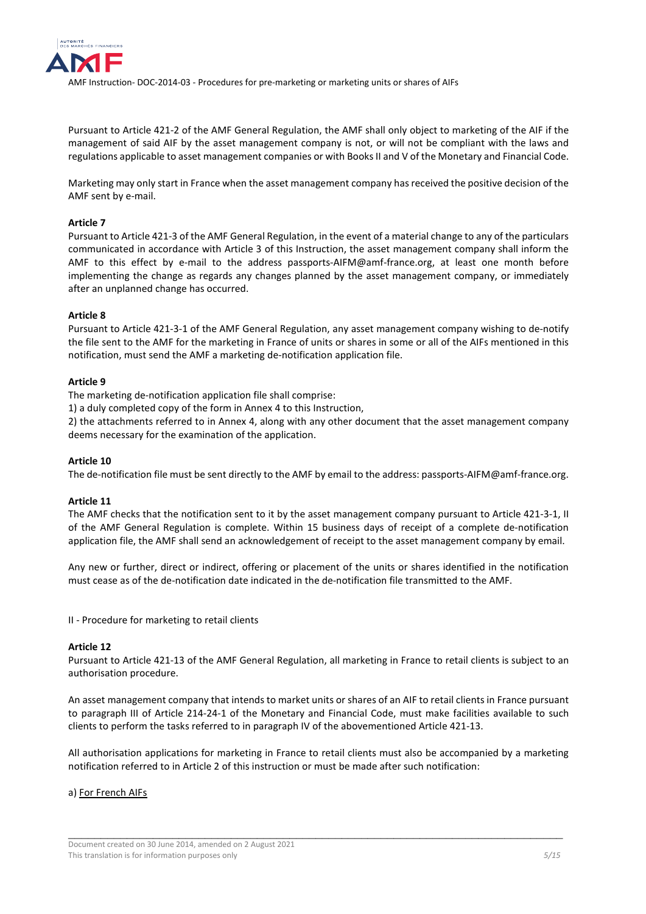

Pursuant to Article 421-2 of the AMF General Regulation, the AMF shall only object to marketing of the AIF if the management of said AIF by the asset management company is not, or will not be compliant with the laws and regulations applicable to asset management companies or with Books II and V of the Monetary and Financial Code.

Marketing may only start in France when the asset management company has received the positive decision of the AMF sent by e-mail.

### **Article 7**

Pursuant to Article 421-3 of the AMF General Regulation, in the event of a material change to any of the particulars communicated in accordance with Article 3 of this Instruction, the asset management company shall inform the AMF to this effect by e-mail to the address passports-AIFM@amf-france.org, at least one month before implementing the change as regards any changes planned by the asset management company, or immediately after an unplanned change has occurred.

### **Article 8**

Pursuant to Article 421-3-1 of the AMF General Regulation, any asset management company wishing to de-notify the file sent to the AMF for the marketing in France of units or shares in some or all of the AIFs mentioned in this notification, must send the AMF a marketing de-notification application file.

### **Article 9**

The marketing de-notification application file shall comprise:

1) a duly completed copy of the form in Annex 4 to this Instruction,

2) the attachments referred to in Annex 4, along with any other document that the asset management company deems necessary for the examination of the application.

#### **Article 10**

The de-notification file must be sent directly to the AMF by email to the address: passports-AIFM@amf-france.org.

# **Article 11**

The AMF checks that the notification sent to it by the asset management company pursuant to Article 421-3-1, II of the AMF General Regulation is complete. Within 15 business days of receipt of a complete de-notification application file, the AMF shall send an acknowledgement of receipt to the asset management company by email.

Any new or further, direct or indirect, offering or placement of the units or shares identified in the notification must cease as of the de-notification date indicated in the de-notification file transmitted to the AMF.

<span id="page-4-0"></span>II - Procedure for marketing to retail clients

### **Article 12**

Pursuant to Article 421-13 of the AMF General Regulation, all marketing in France to retail clients is subject to an authorisation procedure.

An asset management company that intends to market units or shares of an AIF to retail clients in France pursuant to paragraph III of Article 214-24-1 of the Monetary and Financial Code, must make facilities available to such clients to perform the tasks referred to in paragraph IV of the abovementioned Article 421-13.

All authorisation applications for marketing in France to retail clients must also be accompanied by a marketing notification referred to in Article 2 of this instruction or must be made after such notification:

\_\_\_\_\_\_\_\_\_\_\_\_\_\_\_\_\_\_\_\_\_\_\_\_\_\_\_\_\_\_\_\_\_\_\_\_\_\_\_\_\_\_\_\_\_\_\_\_\_\_\_\_\_\_\_\_\_\_\_\_\_\_\_\_\_\_\_\_\_\_\_\_\_\_\_\_

# a) For French AIFs

Document created on 30 June 2014, amended on 2 August 2021 This translation is for information purposes only **5/15** and *5/15* and *5/15* and *5/15* and *5/15*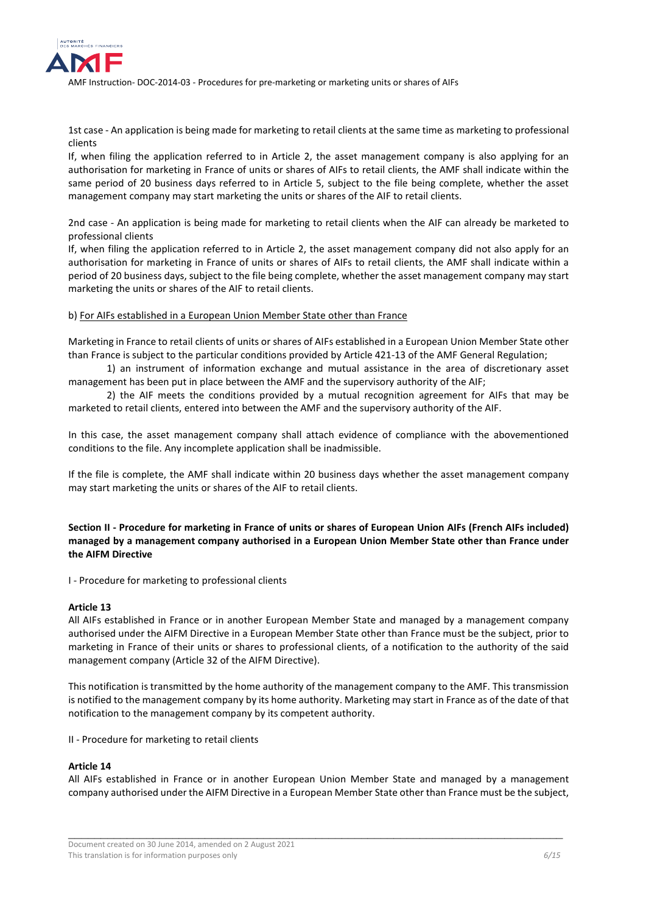

1st case - An application is being made for marketing to retail clients at the same time as marketing to professional clients

If, when filing the application referred to in Article 2, the asset management company is also applying for an authorisation for marketing in France of units or shares of AIFs to retail clients, the AMF shall indicate within the same period of 20 business days referred to in Article 5, subject to the file being complete, whether the asset management company may start marketing the units or shares of the AIF to retail clients.

2nd case - An application is being made for marketing to retail clients when the AIF can already be marketed to professional clients

If, when filing the application referred to in Article 2, the asset management company did not also apply for an authorisation for marketing in France of units or shares of AIFs to retail clients, the AMF shall indicate within a period of 20 business days, subject to the file being complete, whether the asset management company may start marketing the units or shares of the AIF to retail clients.

### b) For AIFs established in a European Union Member State other than France

Marketing in France to retail clients of units or shares of AIFs established in a European Union Member State other than France is subject to the particular conditions provided by Article 421-13 of the AMF General Regulation;

1) an instrument of information exchange and mutual assistance in the area of discretionary asset management has been put in place between the AMF and the supervisory authority of the AIF;

2) the AIF meets the conditions provided by a mutual recognition agreement for AIFs that may be marketed to retail clients, entered into between the AMF and the supervisory authority of the AIF.

In this case, the asset management company shall attach evidence of compliance with the abovementioned conditions to the file. Any incomplete application shall be inadmissible.

If the file is complete, the AMF shall indicate within 20 business days whether the asset management company may start marketing the units or shares of the AIF to retail clients.

# <span id="page-5-0"></span>**Section II - Procedure for marketing in France of units or shares of European Union AIFs (French AIFs included) managed by a management company authorised in a European Union Member State other than France under the AIFM Directive**

<span id="page-5-1"></span>I - Procedure for marketing to professional clients

# **Article 13**

All AIFs established in France or in another European Member State and managed by a management company authorised under the AIFM Directive in a European Member State other than France must be the subject, prior to marketing in France of their units or shares to professional clients, of a notification to the authority of the said management company (Article 32 of the AIFM Directive).

This notification is transmitted by the home authority of the management company to the AMF. This transmission is notified to the management company by its home authority. Marketing may start in France as of the date of that notification to the management company by its competent authority.

<span id="page-5-2"></span>II - Procedure for marketing to retail clients

#### **Article 14**

All AIFs established in France or in another European Union Member State and managed by a management company authorised under the AIFM Directive in a European Member State other than France must be the subject,

Document created on 30 June 2014, amended on 2 August 2021 This translation is for information purposes only **6/15** and *6/15* and *6/15* and *6/15* and *6/15* and *6/15* and *6/15*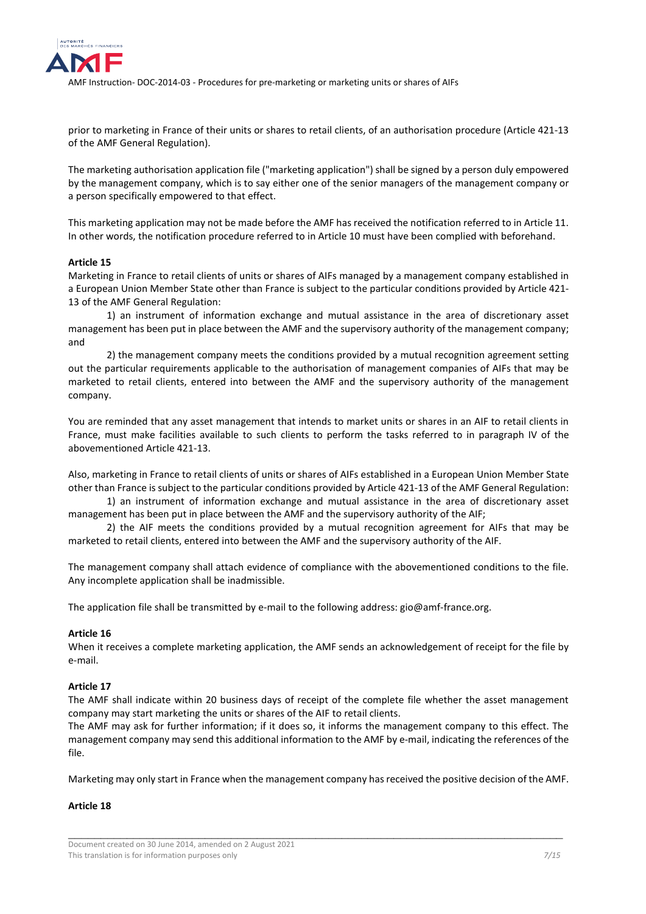

prior to marketing in France of their units or shares to retail clients, of an authorisation procedure (Article 421-13 of the AMF General Regulation).

The marketing authorisation application file ("marketing application") shall be signed by a person duly empowered by the management company, which is to say either one of the senior managers of the management company or a person specifically empowered to that effect.

This marketing application may not be made before the AMF has received the notification referred to in Article 11. In other words, the notification procedure referred to in Article 10 must have been complied with beforehand.

### **Article 15**

Marketing in France to retail clients of units or shares of AIFs managed by a management company established in a European Union Member State other than France is subject to the particular conditions provided by Article 421- 13 of the AMF General Regulation:

1) an instrument of information exchange and mutual assistance in the area of discretionary asset management has been put in place between the AMF and the supervisory authority of the management company; and

2) the management company meets the conditions provided by a mutual recognition agreement setting out the particular requirements applicable to the authorisation of management companies of AIFs that may be marketed to retail clients, entered into between the AMF and the supervisory authority of the management company.

You are reminded that any asset management that intends to market units or shares in an AIF to retail clients in France, must make facilities available to such clients to perform the tasks referred to in paragraph IV of the abovementioned Article 421-13.

Also, marketing in France to retail clients of units or shares of AIFs established in a European Union Member State other than France is subject to the particular conditions provided by Article 421-13 of the AMF General Regulation:

1) an instrument of information exchange and mutual assistance in the area of discretionary asset management has been put in place between the AMF and the supervisory authority of the AIF;

2) the AIF meets the conditions provided by a mutual recognition agreement for AIFs that may be marketed to retail clients, entered into between the AMF and the supervisory authority of the AIF.

The management company shall attach evidence of compliance with the abovementioned conditions to the file. Any incomplete application shall be inadmissible.

The application file shall be transmitted by e-mail to the following address: gio@amf-france.org.

#### **Article 16**

When it receives a complete marketing application, the AMF sends an acknowledgement of receipt for the file by e-mail.

### **Article 17**

The AMF shall indicate within 20 business days of receipt of the complete file whether the asset management company may start marketing the units or shares of the AIF to retail clients.

The AMF may ask for further information; if it does so, it informs the management company to this effect. The management company may send this additional information to the AMF by e-mail, indicating the references of the file.

Marketing may only start in France when the management company has received the positive decision of the AMF.

\_\_\_\_\_\_\_\_\_\_\_\_\_\_\_\_\_\_\_\_\_\_\_\_\_\_\_\_\_\_\_\_\_\_\_\_\_\_\_\_\_\_\_\_\_\_\_\_\_\_\_\_\_\_\_\_\_\_\_\_\_\_\_\_\_\_\_\_\_\_\_\_\_\_\_\_

# **Article 18**

Document created on 30 June 2014, amended on 2 August 2021 This translation is for information purposes only *7/15*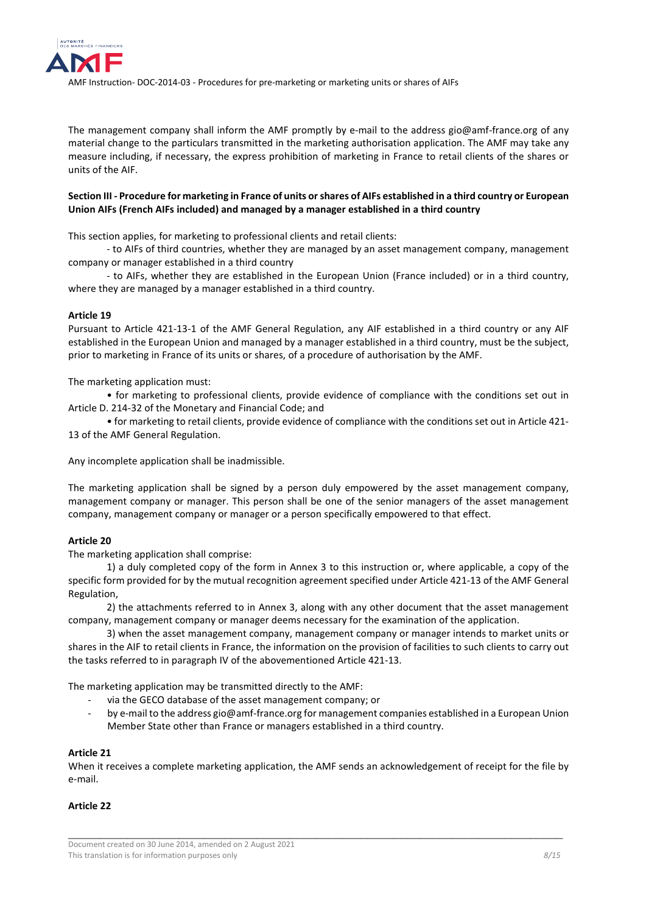

The management company shall inform the AMF promptly by e-mail to the address gio@amf-france.org of any material change to the particulars transmitted in the marketing authorisation application. The AMF may take any measure including, if necessary, the express prohibition of marketing in France to retail clients of the shares or units of the AIF.

# <span id="page-7-0"></span>**Section III - Procedure for marketing in France of units or shares of AIFs established in a third country or European Union AIFs (French AIFs included) and managed by a manager established in a third country**

This section applies, for marketing to professional clients and retail clients:

- to AIFs of third countries, whether they are managed by an asset management company, management company or manager established in a third country

- to AIFs, whether they are established in the European Union (France included) or in a third country, where they are managed by a manager established in a third country.

### **Article 19**

Pursuant to Article 421-13-1 of the AMF General Regulation, any AIF established in a third country or any AIF established in the European Union and managed by a manager established in a third country, must be the subject, prior to marketing in France of its units or shares, of a procedure of authorisation by the AMF.

The marketing application must:

• for marketing to professional clients, provide evidence of compliance with the conditions set out in Article D. 214-32 of the Monetary and Financial Code; and

• for marketing to retail clients, provide evidence of compliance with the conditions set out in Article 421- 13 of the AMF General Regulation.

Any incomplete application shall be inadmissible.

The marketing application shall be signed by a person duly empowered by the asset management company, management company or manager. This person shall be one of the senior managers of the asset management company, management company or manager or a person specifically empowered to that effect.

# **Article 20**

The marketing application shall comprise:

1) a duly completed copy of the form in Annex 3 to this instruction or, where applicable, a copy of the specific form provided for by the mutual recognition agreement specified under Article 421-13 of the AMF General Regulation,

2) the attachments referred to in Annex 3, along with any other document that the asset management company, management company or manager deems necessary for the examination of the application.

3) when the asset management company, management company or manager intends to market units or shares in the AIF to retail clients in France, the information on the provision of facilities to such clients to carry out the tasks referred to in paragraph IV of the abovementioned Article 421-13.

The marketing application may be transmitted directly to the AMF:

- via the GECO database of the asset management company; or
- by e-mail to the address gio@amf-france.org for management companies established in a European Union Member State other than France or managers established in a third country.

#### **Article 21**

When it receives a complete marketing application, the AMF sends an acknowledgement of receipt for the file by e-mail.

\_\_\_\_\_\_\_\_\_\_\_\_\_\_\_\_\_\_\_\_\_\_\_\_\_\_\_\_\_\_\_\_\_\_\_\_\_\_\_\_\_\_\_\_\_\_\_\_\_\_\_\_\_\_\_\_\_\_\_\_\_\_\_\_\_\_\_\_\_\_\_\_\_\_\_\_

# **Article 22**

Document created on 30 June 2014, amended on 2 August 2021 This translation is for information purposes only *8/15*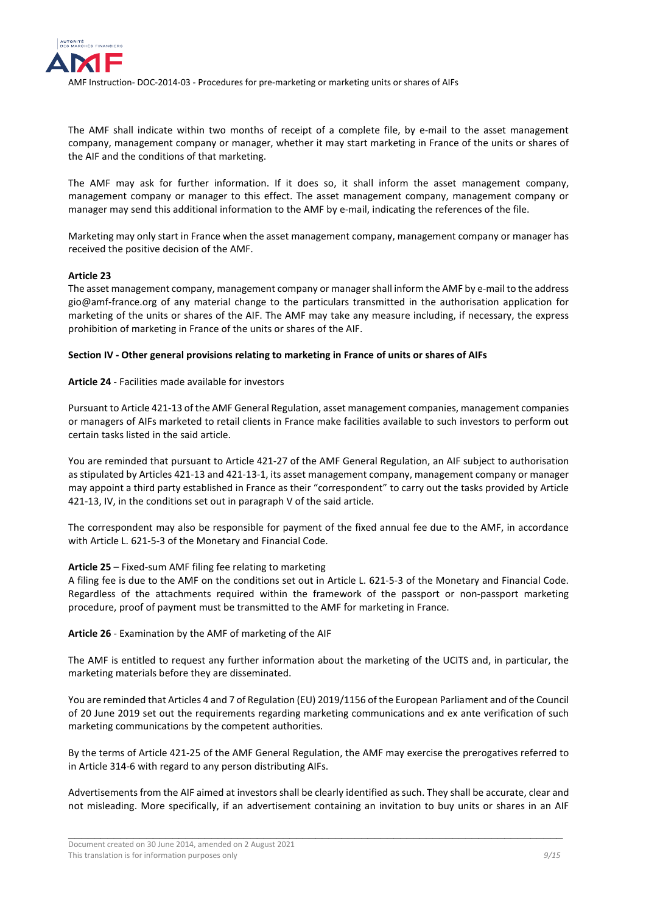

The AMF shall indicate within two months of receipt of a complete file, by e-mail to the asset management company, management company or manager, whether it may start marketing in France of the units or shares of the AIF and the conditions of that marketing.

The AMF may ask for further information. If it does so, it shall inform the asset management company, management company or manager to this effect. The asset management company, management company or manager may send this additional information to the AMF by e-mail, indicating the references of the file.

Marketing may only start in France when the asset management company, management company or manager has received the positive decision of the AMF.

# **Article 23**

The asset management company, management company or manager shall inform the AMF by e-mail to the address gio@amf-france.org of any material change to the particulars transmitted in the authorisation application for marketing of the units or shares of the AIF. The AMF may take any measure including, if necessary, the express prohibition of marketing in France of the units or shares of the AIF.

# <span id="page-8-0"></span>**Section IV - Other general provisions relating to marketing in France of units or shares of AIFs**

# **Article 24** - Facilities made available for investors

Pursuant to Article 421-13 of the AMF General Regulation, asset management companies, management companies or managers of AIFs marketed to retail clients in France make facilities available to such investors to perform out certain tasks listed in the said article.

You are reminded that pursuant to Article 421-27 of the AMF General Regulation, an AIF subject to authorisation as stipulated by Articles 421-13 and 421-13-1, its asset management company, management company or manager may appoint a third party established in France as their "correspondent" to carry out the tasks provided by Article 421-13, IV, in the conditions set out in paragraph V of the said article.

The correspondent may also be responsible for payment of the fixed annual fee due to the AMF, in accordance with Article L. 621-5-3 of the Monetary and Financial Code.

# **Article 25** – Fixed-sum AMF filing fee relating to marketing

A filing fee is due to the AMF on the conditions set out in Article L. 621-5-3 of the Monetary and Financial Code. Regardless of the attachments required within the framework of the passport or non-passport marketing procedure, proof of payment must be transmitted to the AMF for marketing in France.

**Article 26** - Examination by the AMF of marketing of the AIF

The AMF is entitled to request any further information about the marketing of the UCITS and, in particular, the marketing materials before they are disseminated.

You are reminded that Articles 4 and 7 of Regulation (EU) 2019/1156 of the European Parliament and of the Council of 20 June 2019 set out the requirements regarding marketing communications and ex ante verification of such marketing communications by the competent authorities.

By the terms of Article 421-25 of the AMF General Regulation, the AMF may exercise the prerogatives referred to in Article 314-6 with regard to any person distributing AIFs.

Advertisements from the AIF aimed at investors shall be clearly identified as such. They shall be accurate, clear and not misleading. More specifically, if an advertisement containing an invitation to buy units or shares in an AIF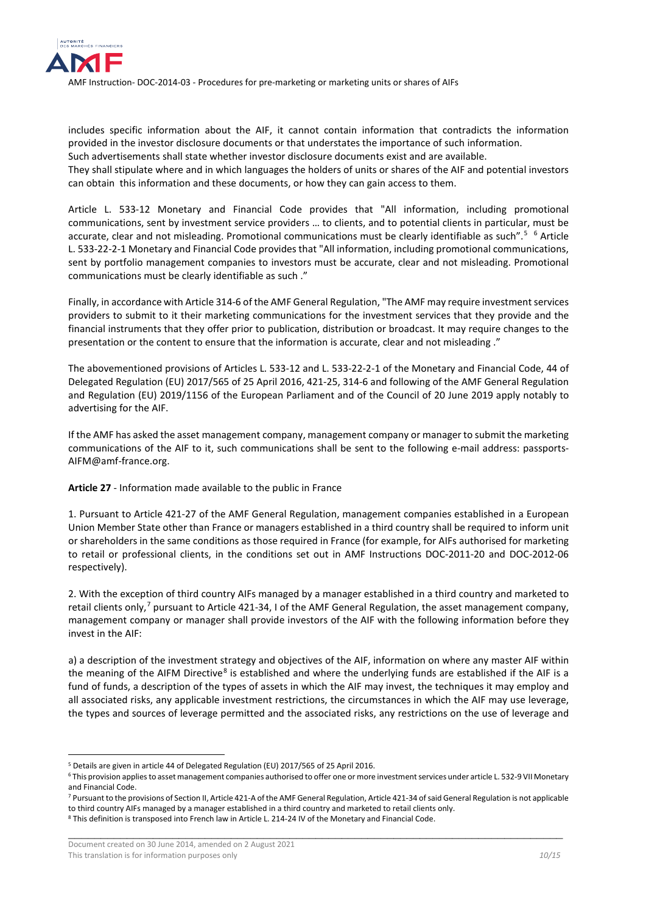

includes specific information about the AIF, it cannot contain information that contradicts the information provided in the investor disclosure documents or that understates the importance of such information.

Such advertisements shall state whether investor disclosure documents exist and are available.

They shall stipulate where and in which languages the holders of units or shares of the AIF and potential investors can obtain this information and these documents, or how they can gain access to them.

Article L. 533-12 Monetary and Financial Code provides that "All information, including promotional communications, sent by investment service providers … to clients, and to potential clients in particular, must be accurate, clear and not misleading. Promotional communications must be clearly identifiable as such".<sup>[5](#page-9-0) [6](#page-9-1)</sup> Article L. 533-22-2-1 Monetary and Financial Code provides that "All information, including promotional communications, sent by portfolio management companies to investors must be accurate, clear and not misleading. Promotional communications must be clearly identifiable as such ."

Finally, in accordance with Article 314-6 of the AMF General Regulation, "The AMF may require investment services providers to submit to it their marketing communications for the investment services that they provide and the financial instruments that they offer prior to publication, distribution or broadcast. It may require changes to the presentation or the content to ensure that the information is accurate, clear and not misleading ."

The abovementioned provisions of Articles L. 533-12 and L. 533-22-2-1 of the Monetary and Financial Code, 44 of Delegated Regulation (EU) 2017/565 of 25 April 2016, 421-25, 314-6 and following of the AMF General Regulation and Regulation (EU) 2019/1156 of the European Parliament and of the Council of 20 June 2019 apply notably to advertising for the AIF.

If the AMF has asked the asset management company, management company or manager to submit the marketing communications of the AIF to it, such communications shall be sent to the following e-mail address: passports-AIFM@amf-france.org.

**Article 27** - Information made available to the public in France

1. Pursuant to Article 421-27 of the AMF General Regulation, management companies established in a European Union Member State other than France or managers established in a third country shall be required to inform unit or shareholders in the same conditions as those required in France (for example, for AIFs authorised for marketing to retail or professional clients, in the conditions set out in AMF Instructions DOC-2011-20 and DOC-2012-06 respectively).

2. With the exception of third country AIFs managed by a manager established in a third country and marketed to retail clients only,<sup>[7](#page-9-2)</sup> pursuant to Article 421-34, I of the AMF General Regulation, the asset management company, management company or manager shall provide investors of the AIF with the following information before they invest in the AIF:

a) a description of the investment strategy and objectives of the AIF, information on where any master AIF within the meaning of the AIFM Directive<sup>[8](#page-9-3)</sup> is established and where the underlying funds are established if the AIF is a fund of funds, a description of the types of assets in which the AIF may invest, the techniques it may employ and all associated risks, any applicable investment restrictions, the circumstances in which the AIF may use leverage, the types and sources of leverage permitted and the associated risks, any restrictions on the use of leverage and

\_\_\_\_\_\_\_\_\_\_\_\_\_\_\_\_\_\_\_\_\_\_\_\_\_\_\_\_\_\_\_\_\_\_\_\_\_\_\_\_\_\_\_\_\_\_\_\_\_\_\_\_\_\_\_\_\_\_\_\_\_\_\_\_\_\_\_\_\_\_\_\_\_\_\_\_

<u>.</u>

<span id="page-9-0"></span><sup>&</sup>lt;sup>5</sup> Details are given in article 44 of Delegated Regulation (EU) 2017/565 of 25 April 2016.

<span id="page-9-1"></span><sup>&</sup>lt;sup>6</sup> This provision applies to asset management companies authorised to offer one or more investment services under article L. 532-9 VII Monetary and Financial Code.

<span id="page-9-2"></span><sup>&</sup>lt;sup>7</sup> Pursuant to the provisions of Section II, Article 421-A of the AMF General Regulation, Article 421-34 of said General Regulation is not applicable to third country AIFs managed by a manager established in a third country and marketed to retail clients only.

<span id="page-9-3"></span><sup>8</sup> This definition is transposed into French law in Article L. 214-24 IV of the Monetary and Financial Code.

Document created on 30 June 2014, amended on 2 August 2021 This translation is for information purposes only *10/15* and *10/15* and *10/15* and *10/15*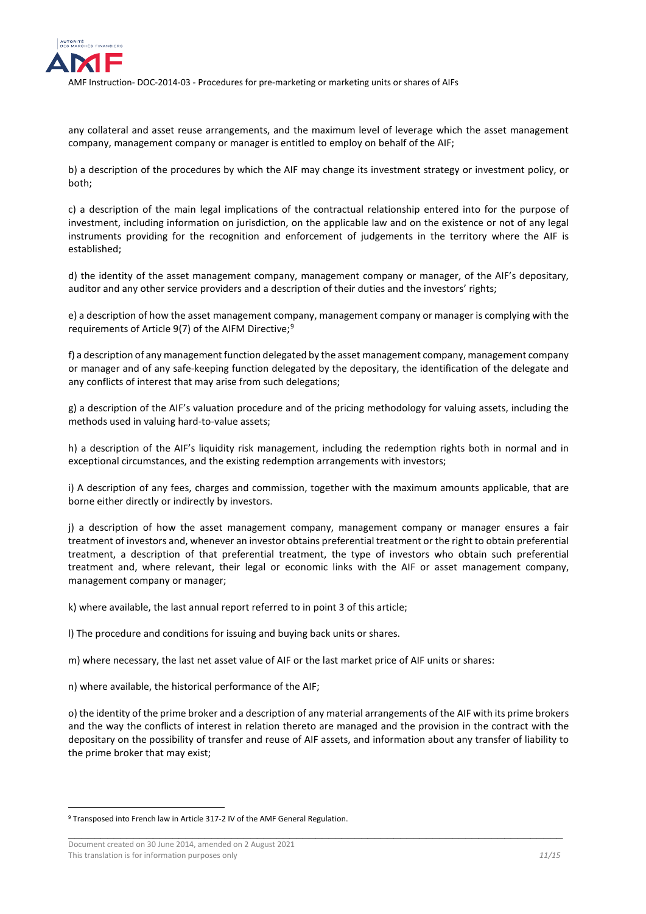

any collateral and asset reuse arrangements, and the maximum level of leverage which the asset management company, management company or manager is entitled to employ on behalf of the AIF;

b) a description of the procedures by which the AIF may change its investment strategy or investment policy, or both;

c) a description of the main legal implications of the contractual relationship entered into for the purpose of investment, including information on jurisdiction, on the applicable law and on the existence or not of any legal instruments providing for the recognition and enforcement of judgements in the territory where the AIF is established;

d) the identity of the asset management company, management company or manager, of the AIF's depositary, auditor and any other service providers and a description of their duties and the investors' rights;

e) a description of how the asset management company, management company or manager is complying with the requirements of Article [9](#page-10-0)(7) of the AIFM Directive:<sup>9</sup>

f) a description of any management function delegated by the asset management company, management company or manager and of any safe-keeping function delegated by the depositary, the identification of the delegate and any conflicts of interest that may arise from such delegations;

g) a description of the AIF's valuation procedure and of the pricing methodology for valuing assets, including the methods used in valuing hard-to-value assets;

h) a description of the AIF's liquidity risk management, including the redemption rights both in normal and in exceptional circumstances, and the existing redemption arrangements with investors;

i) A description of any fees, charges and commission, together with the maximum amounts applicable, that are borne either directly or indirectly by investors.

j) a description of how the asset management company, management company or manager ensures a fair treatment of investors and, whenever an investor obtains preferential treatment or the right to obtain preferential treatment, a description of that preferential treatment, the type of investors who obtain such preferential treatment and, where relevant, their legal or economic links with the AIF or asset management company, management company or manager;

k) where available, the last annual report referred to in point 3 of this article;

l) The procedure and conditions for issuing and buying back units or shares.

m) where necessary, the last net asset value of AIF or the last market price of AIF units or shares:

n) where available, the historical performance of the AIF;

o) the identity of the prime broker and a description of any material arrangements of the AIF with its prime brokers and the way the conflicts of interest in relation thereto are managed and the provision in the contract with the depositary on the possibility of transfer and reuse of AIF assets, and information about any transfer of liability to the prime broker that may exist;

\_\_\_\_\_\_\_\_\_\_\_\_\_\_\_\_\_\_\_\_\_\_\_\_\_\_\_\_\_\_\_\_\_\_\_\_\_\_\_\_\_\_\_\_\_\_\_\_\_\_\_\_\_\_\_\_\_\_\_\_\_\_\_\_\_\_\_\_\_\_\_\_\_\_\_\_

-

<span id="page-10-0"></span><sup>&</sup>lt;sup>9</sup> Transposed into French law in Article 317-2 IV of the AMF General Regulation.

Document created on 30 June 2014, amended on 2 August 2021 This translation is for information purposes only **11/15** and **11/15** and **11/15** and **11/15** and **11/15** and **11/15**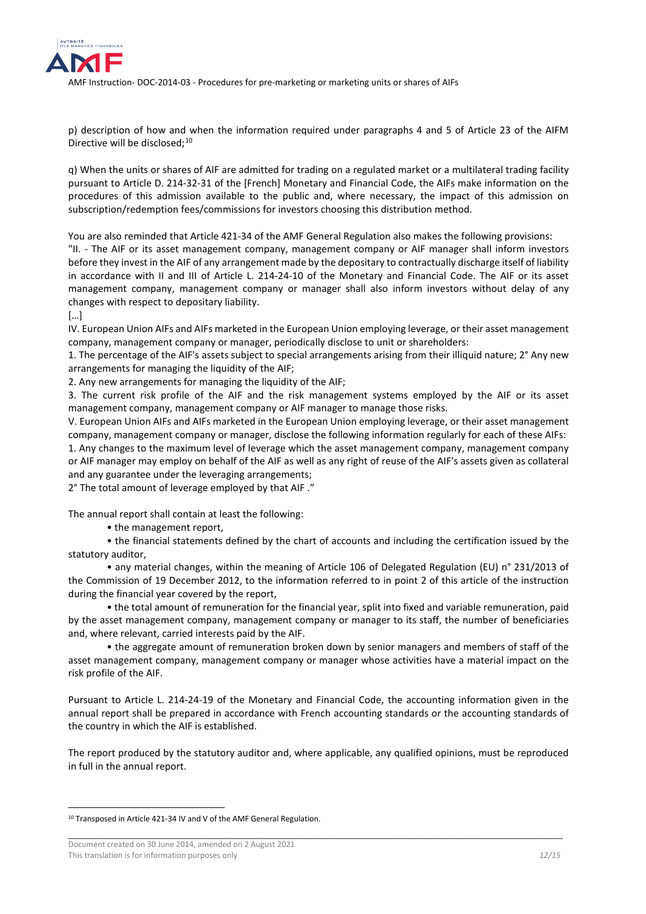

p) description of how and when the information required under paragraphs 4 and 5 of Article 23 of the AIFM Directive will be disclosed;<sup>[10](#page-11-0)</sup>

q) When the units or shares of AIF are admitted for trading on a regulated market or a multilateral trading facility pursuant to Article D. 214-32-31 of the [French] Monetary and Financial Code, the AIFs make information on the procedures of this admission available to the public and, where necessary, the impact of this admission on subscription/redemption fees/commissions for investors choosing this distribution method.

You are also reminded that Article 421-34 of the AMF General Regulation also makes the following provisions:

"II. - The AIF or its asset management company, management company or AIF manager shall inform investors before they invest in the AIF of any arrangement made by the depositary to contractually discharge itself of liability in accordance with II and III of Article L. 214-24-10 of the Monetary and Financial Code. The AIF or its asset management company, management company or manager shall also inform investors without delay of any changes with respect to depositary liability.

[…]

-

IV. European Union AIFs and AIFs marketed in the European Union employing leverage, or their asset management company, management company or manager, periodically disclose to unit or shareholders:

1. The percentage of the AIF's assets subject to special arrangements arising from their illiquid nature; 2° Any new arrangements for managing the liquidity of the AIF;

2. Any new arrangements for managing the liquidity of the AIF;

3. The current risk profile of the AIF and the risk management systems employed by the AIF or its asset management company, management company or AIF manager to manage those risks.

V. European Union AIFs and AIFs marketed in the European Union employing leverage, or their asset management company, management company or manager, disclose the following information regularly for each of these AIFs: 1. Any changes to the maximum level of leverage which the asset management company, management company or AIF manager may employ on behalf of the AIF as well as any right of reuse of the AIF's assets given as collateral and any guarantee under the leveraging arrangements;

2° The total amount of leverage employed by that AIF ."

The annual report shall contain at least the following:

• the management report,

• the financial statements defined by the chart of accounts and including the certification issued by the statutory auditor,

• any material changes, within the meaning of Article 106 of Delegated Regulation (EU) n° 231/2013 of the Commission of 19 December 2012, to the information referred to in point 2 of this article of the instruction during the financial year covered by the report,

• the total amount of remuneration for the financial year, split into fixed and variable remuneration, paid by the asset management company, management company or manager to its staff, the number of beneficiaries and, where relevant, carried interests paid by the AIF.

• the aggregate amount of remuneration broken down by senior managers and members of staff of the asset management company, management company or manager whose activities have a material impact on the risk profile of the AIF.

Pursuant to Article L. 214-24-19 of the Monetary and Financial Code, the accounting information given in the annual report shall be prepared in accordance with French accounting standards or the accounting standards of the country in which the AIF is established.

The report produced by the statutory auditor and, where applicable, any qualified opinions, must be reproduced in full in the annual report.

<span id="page-11-0"></span><sup>&</sup>lt;sup>10</sup> Transposed in Article 421-34 IV and V of the AMF General Regulation.

Document created on 30 June 2014, amended on 2 August 2021 This translation is for information purposes only **12/15** and the set of the set of the set of the set of the set of the set of the set of the set of the set of the set of the set of the set of the set of the set of the se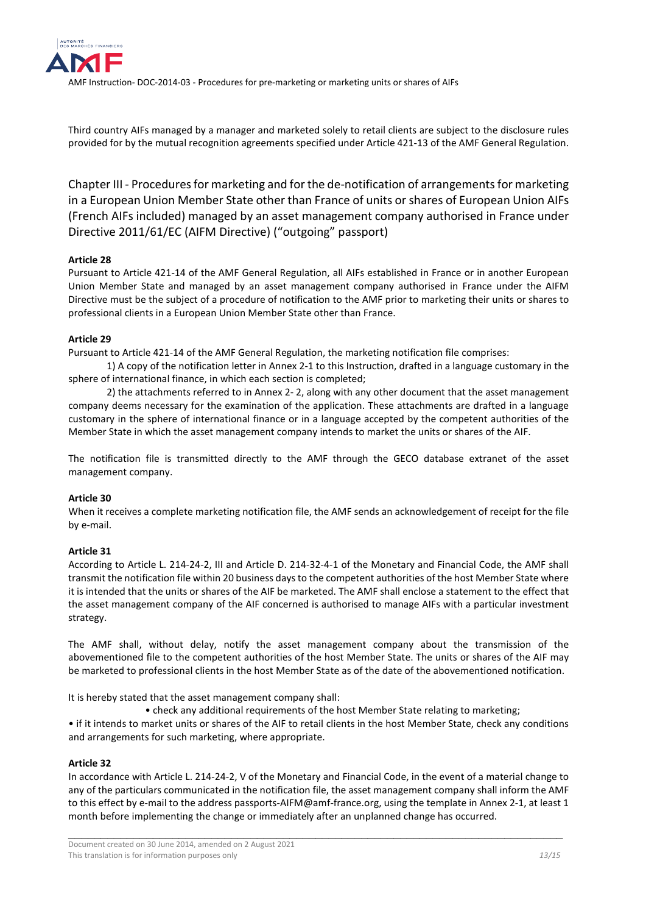

Third country AIFs managed by a manager and marketed solely to retail clients are subject to the disclosure rules provided for by the mutual recognition agreements specified under Article 421-13 of the AMF General Regulation.

<span id="page-12-0"></span>Chapter III - Procedures for marketing and for the de-notification of arrangements for marketing in a European Union Member State other than France of units or shares of European Union AIFs (French AIFs included) managed by an asset management company authorised in France under Directive 2011/61/EC (AIFM Directive) ("outgoing" passport)

# **Article 28**

Pursuant to Article 421-14 of the AMF General Regulation, all AIFs established in France or in another European Union Member State and managed by an asset management company authorised in France under the AIFM Directive must be the subject of a procedure of notification to the AMF prior to marketing their units or shares to professional clients in a European Union Member State other than France.

# **Article 29**

Pursuant to Article 421-14 of the AMF General Regulation, the marketing notification file comprises:

1) A copy of the notification letter in Annex 2-1 to this Instruction, drafted in a language customary in the sphere of international finance, in which each section is completed;

2) the attachments referred to in Annex 2- 2, along with any other document that the asset management company deems necessary for the examination of the application. These attachments are drafted in a language customary in the sphere of international finance or in a language accepted by the competent authorities of the Member State in which the asset management company intends to market the units or shares of the AIF.

The notification file is transmitted directly to the AMF through the GECO database extranet of the asset management company.

# **Article 30**

When it receives a complete marketing notification file, the AMF sends an acknowledgement of receipt for the file by e-mail.

# **Article 31**

According to Article L. 214-24-2, III and Article D. 214-32-4-1 of the Monetary and Financial Code, the AMF shall transmit the notification file within 20 business days to the competent authorities of the host Member State where it is intended that the units or shares of the AIF be marketed. The AMF shall enclose a statement to the effect that the asset management company of the AIF concerned is authorised to manage AIFs with a particular investment strategy.

The AMF shall, without delay, notify the asset management company about the transmission of the abovementioned file to the competent authorities of the host Member State. The units or shares of the AIF may be marketed to professional clients in the host Member State as of the date of the abovementioned notification.

It is hereby stated that the asset management company shall:

• check any additional requirements of the host Member State relating to marketing;

• if it intends to market units or shares of the AIF to retail clients in the host Member State, check any conditions and arrangements for such marketing, where appropriate.

# **Article 32**

In accordance with Article L. 214-24-2, V of the Monetary and Financial Code, in the event of a material change to any of the particulars communicated in the notification file, the asset management company shall inform the AMF to this effect by e-mail to the address passports-AIFM@amf-france.org, using the template in Annex 2-1, at least 1 month before implementing the change or immediately after an unplanned change has occurred.